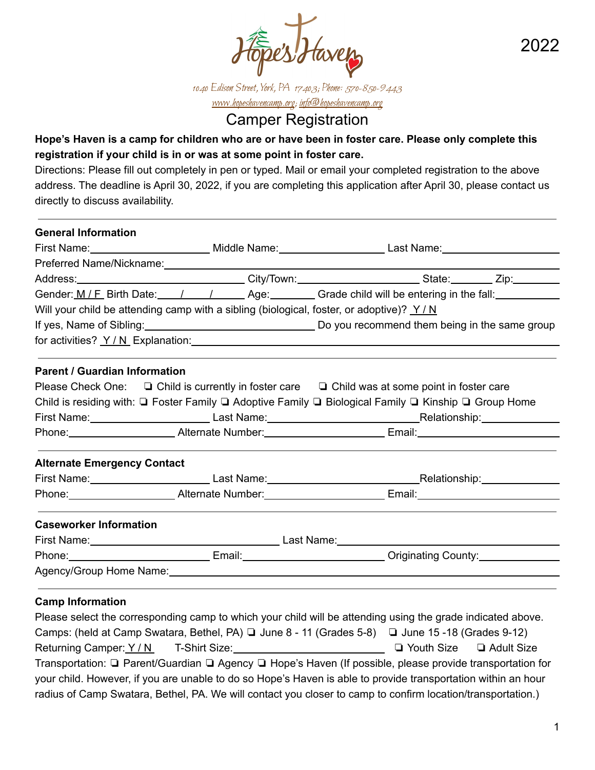

1040 Edison Street, York, PA 17403; Phone: 570-850-9443 [www.hopeshavencamp.org](http://www.hopeshavencamp.org); info@hopeshavencamp.org

Camper Registration

### Hope's Haven is a camp for children who are or have been in foster care. Please only complete this **registration if your child is in or was at some point in foster care.**

Directions: Please fill out completely in pen or typed. Mail or email your completed registration to the above address. The deadline is April 30, 2022, if you are completing this application after April 30, please contact us directly to discuss availability.

| <b>General Information</b>           |                                                                              |                                                                                                                                                                                                                                     |  |
|--------------------------------------|------------------------------------------------------------------------------|-------------------------------------------------------------------------------------------------------------------------------------------------------------------------------------------------------------------------------------|--|
|                                      |                                                                              | First Name: _____________________________Middle Name: __________________________Last Name: ___________________                                                                                                                      |  |
|                                      |                                                                              |                                                                                                                                                                                                                                     |  |
|                                      |                                                                              | Address: __________________________________City/Town: __________________________State: _________ Zip:_________                                                                                                                      |  |
|                                      | Gender: M/F Birth Date: 1 1 / Age: Grade child will be entering in the fall: |                                                                                                                                                                                                                                     |  |
|                                      |                                                                              | Will your child be attending camp with a sibling (biological, foster, or adoptive)? $Y/N$                                                                                                                                           |  |
|                                      |                                                                              | If yes, Name of Sibling:<br>If yes, Name of Sibling:<br>                                                                                                                                                                            |  |
|                                      |                                                                              | for activities? <u>Y/N</u> Explanation: Manual Content of the Second Content of the Second Content of the Second Content of the Second Content of the Second Content of the Second Content of the Second Content of the Second Cont |  |
| <b>Parent / Guardian Information</b> |                                                                              |                                                                                                                                                                                                                                     |  |
|                                      |                                                                              | Please Check One: $\Box$ Child is currently in foster care $\Box$ Child was at some point in foster care                                                                                                                            |  |
|                                      |                                                                              | Child is residing with: $\Box$ Foster Family $\Box$ Adoptive Family $\Box$ Biological Family $\Box$ Kinship $\Box$ Group Home                                                                                                       |  |
|                                      |                                                                              |                                                                                                                                                                                                                                     |  |
|                                      |                                                                              | Phone: Alternate Number: Email: Email: Email: Email: Email: Alternate Number: Email: Alternate Mumber: Email: Alternate Mumber: Alternate Mumber: Alternate Mumber: Alternate Mumber: Alternate Mumber: Alternate Mumber: Alte      |  |
| <b>Alternate Emergency Contact</b>   |                                                                              |                                                                                                                                                                                                                                     |  |
|                                      |                                                                              |                                                                                                                                                                                                                                     |  |
|                                      |                                                                              | Phone: __________________________Alternate Number: ______________________________ Email: _____________________                                                                                                                      |  |
| <b>Caseworker Information</b>        |                                                                              |                                                                                                                                                                                                                                     |  |
|                                      |                                                                              |                                                                                                                                                                                                                                     |  |
|                                      |                                                                              | Phone: Email: Email: County: County: County:                                                                                                                                                                                        |  |

#### **Camp Information**

Agency/Group Home Name:

| Please select the corresponding camp to which your child will be attending using the grade indicated above.   |                                     |  |  |  |
|---------------------------------------------------------------------------------------------------------------|-------------------------------------|--|--|--|
| Camps: (held at Camp Swatara, Bethel, PA) 4 June 8 - 11 (Grades 5-8) 4 June 15 - 18 (Grades 9-12)             |                                     |  |  |  |
| Returning Camper: Y/N T-Shirt Size:                                                                           | $\Box$ Youth Size $\Box$ Adult Size |  |  |  |
| Transportation: □ Parent/Guardian □ Agency □ Hope's Haven (If possible, please provide transportation for     |                                     |  |  |  |
| your child. However, if you are unable to do so Hope's Haven is able to provide transportation within an hour |                                     |  |  |  |
| radius of Camp Swatara, Bethel, PA. We will contact you closer to camp to confirm location/transportation.)   |                                     |  |  |  |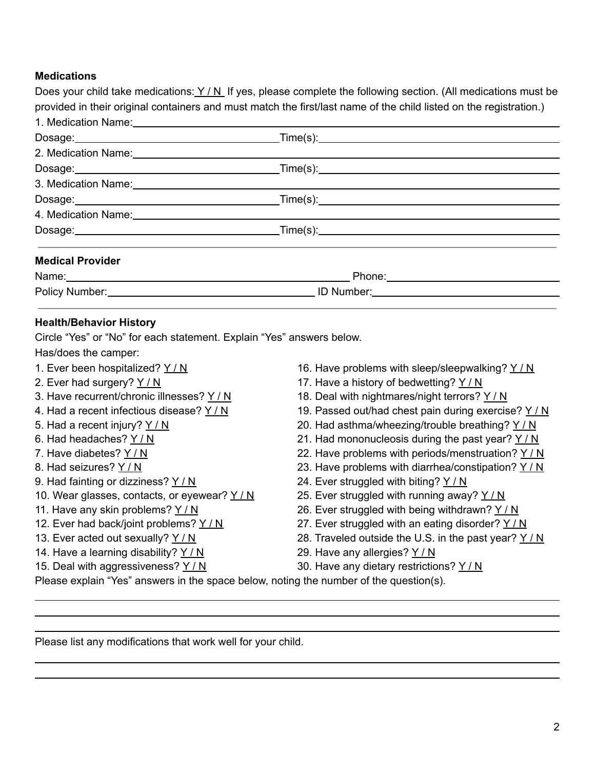### **Medications**

Does your child take medications:  $Y/N$  If yes, please complete the following section. (All medications must be provided in their original containers and must match the first/last name of the child listed on the registration.) 1. Medication Name:

| $\blacksquare$ . My and the set of the set of the set of the set of the set of the set of the set of the set of the set of the set of the set of the set of the set of the set of the set of the set of the set of the set of the set |  |
|---------------------------------------------------------------------------------------------------------------------------------------------------------------------------------------------------------------------------------------|--|
|                                                                                                                                                                                                                                       |  |
| 2. Medication Name: 2. Medication Name: 2. Medication Name: 2. Medication Name: 2. Medication Name: 2. Medication Name: 2. Medication Name: 2. Medication Name: 2. Medication Name: 2. Medication Name: 2. Medication Name: 2.        |  |
|                                                                                                                                                                                                                                       |  |
|                                                                                                                                                                                                                                       |  |
|                                                                                                                                                                                                                                       |  |
| 4. Medication Name: 1988 and 2008 and 2008 and 2008 and 2008 and 2008 and 2008 and 2008 and 2008 and 2008 and                                                                                                                         |  |
|                                                                                                                                                                                                                                       |  |
| <b>Medical Provider</b>                                                                                                                                                                                                               |  |
|                                                                                                                                                                                                                                       |  |

| 1101110.       | טווטוו.       |
|----------------|---------------|
| Policy Number: | Number:<br>שו |
|                |               |

### **Health/Behavior History**

Circle "Yes" or "No" for each statement. Explain "Yes" answers below.

Has/does the camper:

- 1. Ever been hospitalized?  $Y/N$
- 2. Ever had surgery?  $Y/N$
- 3. Have recurrent/chronic illnesses? Y / N
- 4. Had a recent infectious disease?  $Y/N$
- 5. Had a recent injury? Y / N
- 6. Had headaches? Y / N
- 7. Have diabetes? Y / N
- 8. Had seizures? Y / N
- 9. Had fainting or dizziness?  $Y/N$
- 10. Wear glasses, contacts, or eyewear?  $Y/N$
- 11. Have any skin problems? Y / N
- 12. Ever had back/joint problems?  $Y/N$
- 13. Ever acted out sexually? Y / N
- 14. Have a learning disability? Y / N
- 15. Deal with aggressiveness?  $Y/N$
- 16. Have problems with sleep/sleepwalking?  $Y/N$
- 17. Have a history of bedwetting?  $Y/N$
- 18. Deal with nightmares/night terrors? Y / N
- 19. Passed out/had chest pain during exercise?  $Y/N$
- 20. Had asthma/wheezing/trouble breathing? Y / N
- 21. Had mononucleosis during the past year? Y / N
- 22. Have problems with periods/menstruation? Y / N
- 23. Have problems with diarrhea/constipation?  $Y/N$
- 24. Ever struggled with biting?  $Y/N$
- 25. Ever struggled with running away?  $Y/N$
- 26. Ever struggled with being withdrawn? Y / N
- 27. Ever struggled with an eating disorder?  $Y/N$
- 28. Traveled outside the U.S. in the past year? Y / N
- 29. Have any allergies? Y / N
- 30. Have any dietary restrictions?  $Y/N$

Please explain "Yes" answers in the space below, noting the number of the question(s).

Please list any modifications that work well for your child.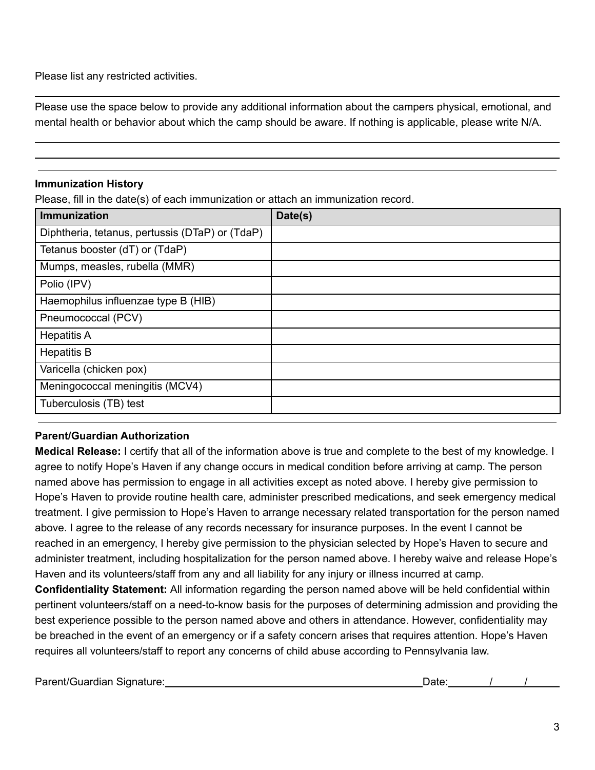Please list any restricted activities.

Please use the space below to provide any additional information about the campers physical, emotional, and mental health or behavior about which the camp should be aware. If nothing is applicable, please write N/A.

### **Immunization History**

Please, fill in the date(s) of each immunization or attach an immunization record.

| Immunization                                    | Date(s) |
|-------------------------------------------------|---------|
| Diphtheria, tetanus, pertussis (DTaP) or (TdaP) |         |
| Tetanus booster (dT) or (TdaP)                  |         |
| Mumps, measles, rubella (MMR)                   |         |
| Polio (IPV)                                     |         |
| Haemophilus influenzae type B (HIB)             |         |
| Pneumococcal (PCV)                              |         |
| <b>Hepatitis A</b>                              |         |
| <b>Hepatitis B</b>                              |         |
| Varicella (chicken pox)                         |         |
| Meningococcal meningitis (MCV4)                 |         |
| Tuberculosis (TB) test                          |         |

### **Parent/Guardian Authorization**

**Medical Release:** I certify that all of the information above is true and complete to the best of my knowledge. I agree to notify Hope's Haven if any change occurs in medical condition before arriving at camp. The person named above has permission to engage in all activities except as noted above. I hereby give permission to Hope's Haven to provide routine health care, administer prescribed medications, and seek emergency medical treatment. I give permission to Hope's Haven to arrange necessary related transportation for the person named above. I agree to the release of any records necessary for insurance purposes. In the event I cannot be reached in an emergency, I hereby give permission to the physician selected by Hope's Haven to secure and administer treatment, including hospitalization for the person named above. I hereby waive and release Hope's Haven and its volunteers/staff from any and all liability for any injury or illness incurred at camp.

**Confidentiality Statement:** All information regarding the person named above will be held confidential within pertinent volunteers/staff on a need-to-know basis for the purposes of determining admission and providing the best experience possible to the person named above and others in attendance. However, confidentiality may be breached in the event of an emergency or if a safety concern arises that requires attention. Hope's Haven requires all volunteers/staff to report any concerns of child abuse according to Pennsylvania law.

| Parent/Guardian<br>Signature: |  |
|-------------------------------|--|
|                               |  |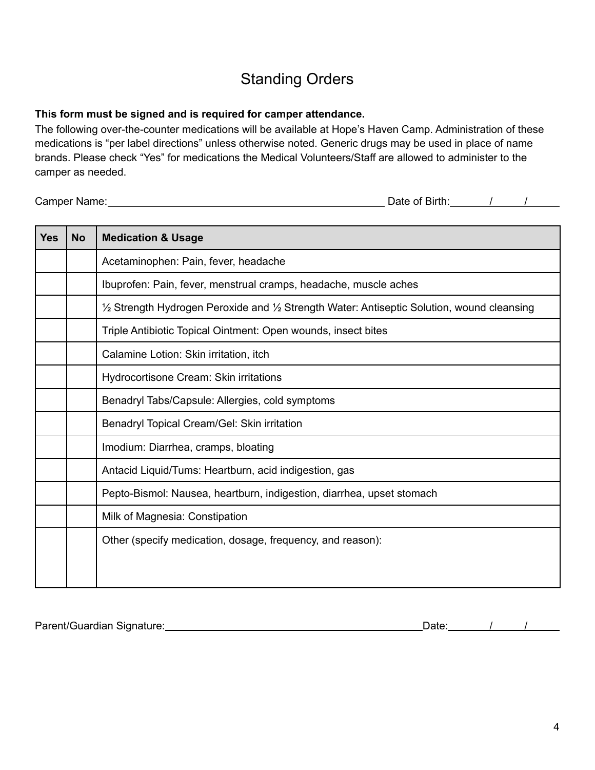# Standing Orders

### **This form must be signed and is required for camper attendance.**

The following over-the-counter medications will be available at Hope's Haven Camp. Administration of these medications is "per label directions" unless otherwise noted. Generic drugs may be used in place of name brands. Please check "Yes" for medications the Medical Volunteers/Staff are allowed to administer to the camper as needed.

Camper Name: Date of Birth: / /

| <b>Yes</b> | <b>No</b> | <b>Medication &amp; Usage</b>                                                                                   |
|------------|-----------|-----------------------------------------------------------------------------------------------------------------|
|            |           | Acetaminophen: Pain, fever, headache                                                                            |
|            |           | Ibuprofen: Pain, fever, menstrual cramps, headache, muscle aches                                                |
|            |           | $\frac{1}{2}$ Strength Hydrogen Peroxide and $\frac{1}{2}$ Strength Water: Antiseptic Solution, wound cleansing |
|            |           | Triple Antibiotic Topical Ointment: Open wounds, insect bites                                                   |
|            |           | Calamine Lotion: Skin irritation, itch                                                                          |
|            |           | Hydrocortisone Cream: Skin irritations                                                                          |
|            |           | Benadryl Tabs/Capsule: Allergies, cold symptoms                                                                 |
|            |           | Benadryl Topical Cream/Gel: Skin irritation                                                                     |
|            |           | Imodium: Diarrhea, cramps, bloating                                                                             |
|            |           | Antacid Liquid/Tums: Heartburn, acid indigestion, gas                                                           |
|            |           | Pepto-Bismol: Nausea, heartburn, indigestion, diarrhea, upset stomach                                           |
|            |           | Milk of Magnesia: Constipation                                                                                  |
|            |           | Other (specify medication, dosage, frequency, and reason):                                                      |
|            |           |                                                                                                                 |
|            |           |                                                                                                                 |

Parent/Guardian Signature: Date: / /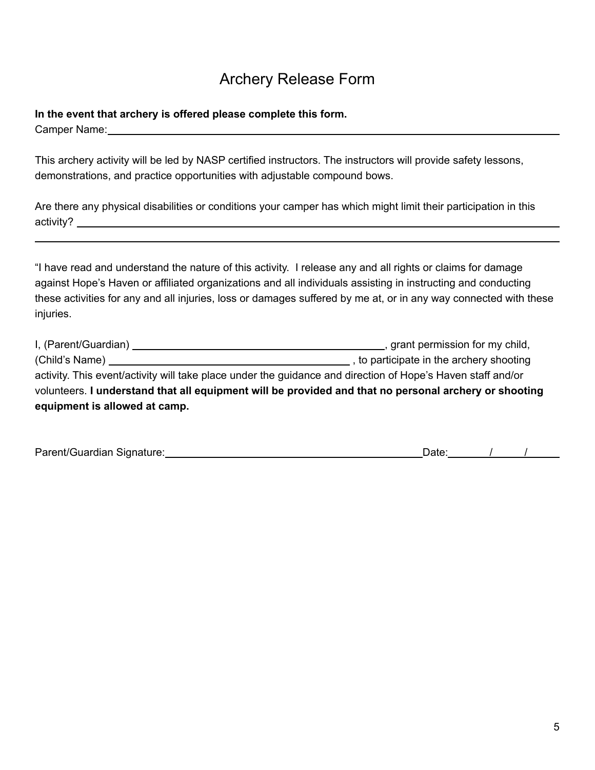## Archery Release Form

### **In the event that archery is offered please complete this form.** Camper Name:

This archery activity will be led by NASP certified instructors. The instructors will provide safety lessons, demonstrations, and practice opportunities with adjustable compound bows.

Are there any physical disabilities or conditions your camper has which might limit their participation in this activity?

"I have read and understand the nature of this activity. I release any and all rights or claims for damage against Hope's Haven or affiliated organizations and all individuals assisting in instructing and conducting these activities for any and all injuries, loss or damages suffered by me at, or in any way connected with these injuries.

| I, (Parent/Guardian) ____                                                                                   | , grant permission for my child,         |  |  |  |
|-------------------------------------------------------------------------------------------------------------|------------------------------------------|--|--|--|
|                                                                                                             | , to participate in the archery shooting |  |  |  |
| activity. This event/activity will take place under the guidance and direction of Hope's Haven staff and/or |                                          |  |  |  |
| volunteers. I understand that all equipment will be provided and that no personal archery or shooting       |                                          |  |  |  |
| equipment is allowed at camp.                                                                               |                                          |  |  |  |

| Parent/Guardian Signature: | Date |  |  |
|----------------------------|------|--|--|
|                            |      |  |  |